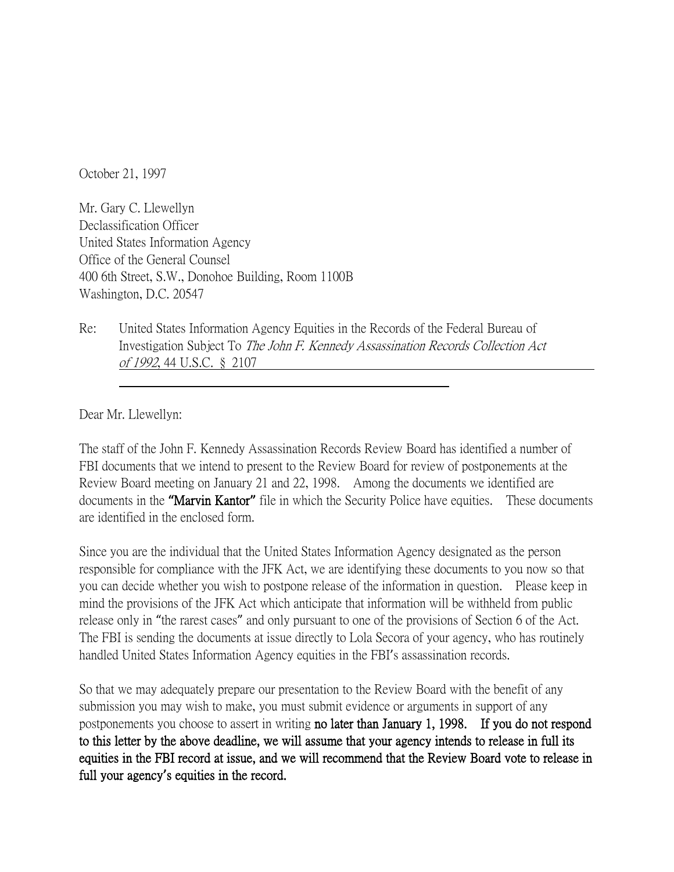October 21, 1997

Mr. Gary C. Llewellyn Declassification Officer United States Information Agency Office of the General Counsel 400 6th Street, S.W., Donohoe Building, Room 1100B Washington, D.C. 20547

Re: United States Information Agency Equities in the Records of the Federal Bureau of Investigation Subject To The John F. Kennedy Assassination Records Collection Act of 1992, 44 U.S.C. § 2107

Dear Mr. Llewellyn:

The staff of the John F. Kennedy Assassination Records Review Board has identified a number of FBI documents that we intend to present to the Review Board for review of postponements at the Review Board meeting on January 21 and 22, 1998. Among the documents we identified are documents in the **"**Marvin Kantor**"** file in which the Security Police have equities. These documents are identified in the enclosed form.

Since you are the individual that the United States Information Agency designated as the person responsible for compliance with the JFK Act, we are identifying these documents to you now so that you can decide whether you wish to postpone release of the information in question. Please keep in mind the provisions of the JFK Act which anticipate that information will be withheld from public release only in "the rarest cases" and only pursuant to one of the provisions of Section 6 of the Act. The FBI is sending the documents at issue directly to Lola Secora of your agency, who has routinely handled United States Information Agency equities in the FBI's assassination records.

So that we may adequately prepare our presentation to the Review Board with the benefit of any submission you may wish to make, you must submit evidence or arguments in support of any postponements you choose to assert in writing no later than January 1, 1998. If you do not respond to this letter by the above deadline, we will assume that your agency intends to release in full its equities in the FBI record at issue, and we will recommend that the Review Board vote to release in full your agency**'**s equities in the record.